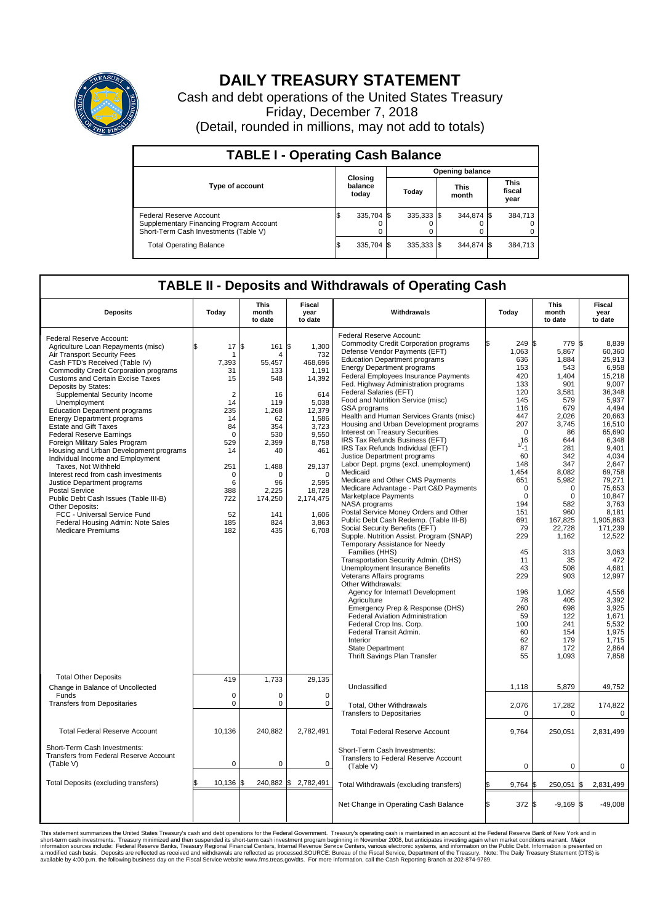

## **DAILY TREASURY STATEMENT**

Cash and debt operations of the United States Treasury Friday, December 7, 2018 (Detail, rounded in millions, may not add to totals)

| <b>TABLE I - Operating Cash Balance</b>                                                                     |  |                             |  |                        |  |                      |  |                               |  |  |  |
|-------------------------------------------------------------------------------------------------------------|--|-----------------------------|--|------------------------|--|----------------------|--|-------------------------------|--|--|--|
|                                                                                                             |  | Closing<br>balance<br>today |  | <b>Opening balance</b> |  |                      |  |                               |  |  |  |
| <b>Type of account</b>                                                                                      |  |                             |  | Today                  |  | <b>This</b><br>month |  | <b>This</b><br>fiscal<br>year |  |  |  |
| Federal Reserve Account<br>Supplementary Financing Program Account<br>Short-Term Cash Investments (Table V) |  | 335.704 \$                  |  | $335.333$ \$           |  | 344.874 \$           |  | 384,713                       |  |  |  |
| <b>Total Operating Balance</b>                                                                              |  | 335,704 \$                  |  | 335,333 \$             |  | 344,874 \$           |  | 384,713                       |  |  |  |

## **TABLE II - Deposits and Withdrawals of Operating Cash**

| <b>Deposits</b>                                                                                                                                                                                                                                                                                                                                                                                                                                                                                                                                                                                                                                                                                                                                                                                                                                      | Today                                                                                                                                                           | This<br>month<br>to date                                                                                                                                                            | Fiscal<br>year<br>to date                                                                                                                                                                        | Withdrawals                                                                                                                                                                                                                                                                                                                                                                                                                                                                                                                                                                                                                                                                                                                                                                                                                                                                                                                                                                                                                                                                                                                                                                                                                                                                                                                                                                           | Today                                                                                                                                                                                                                                                                           | <b>This</b><br>month<br>to date                                                                                                                                                                                                                                                                            | Fiscal<br>year<br>to date                                                                                                                                                                                                                                                                                                                                           |
|------------------------------------------------------------------------------------------------------------------------------------------------------------------------------------------------------------------------------------------------------------------------------------------------------------------------------------------------------------------------------------------------------------------------------------------------------------------------------------------------------------------------------------------------------------------------------------------------------------------------------------------------------------------------------------------------------------------------------------------------------------------------------------------------------------------------------------------------------|-----------------------------------------------------------------------------------------------------------------------------------------------------------------|-------------------------------------------------------------------------------------------------------------------------------------------------------------------------------------|--------------------------------------------------------------------------------------------------------------------------------------------------------------------------------------------------|---------------------------------------------------------------------------------------------------------------------------------------------------------------------------------------------------------------------------------------------------------------------------------------------------------------------------------------------------------------------------------------------------------------------------------------------------------------------------------------------------------------------------------------------------------------------------------------------------------------------------------------------------------------------------------------------------------------------------------------------------------------------------------------------------------------------------------------------------------------------------------------------------------------------------------------------------------------------------------------------------------------------------------------------------------------------------------------------------------------------------------------------------------------------------------------------------------------------------------------------------------------------------------------------------------------------------------------------------------------------------------------|---------------------------------------------------------------------------------------------------------------------------------------------------------------------------------------------------------------------------------------------------------------------------------|------------------------------------------------------------------------------------------------------------------------------------------------------------------------------------------------------------------------------------------------------------------------------------------------------------|---------------------------------------------------------------------------------------------------------------------------------------------------------------------------------------------------------------------------------------------------------------------------------------------------------------------------------------------------------------------|
| Federal Reserve Account:<br>Agriculture Loan Repayments (misc)<br>Air Transport Security Fees<br>Cash FTD's Received (Table IV)<br><b>Commodity Credit Corporation programs</b><br><b>Customs and Certain Excise Taxes</b><br>Deposits by States:<br>Supplemental Security Income<br>Unemployment<br><b>Education Department programs</b><br><b>Energy Department programs</b><br><b>Estate and Gift Taxes</b><br><b>Federal Reserve Earnings</b><br>Foreign Military Sales Program<br>Housing and Urban Development programs<br>Individual Income and Employment<br>Taxes, Not Withheld<br>Interest recd from cash investments<br>Justice Department programs<br><b>Postal Service</b><br>Public Debt Cash Issues (Table III-B)<br>Other Deposits:<br>FCC - Universal Service Fund<br>Federal Housing Admin: Note Sales<br><b>Medicare Premiums</b> | 17<br>\$.<br>7,393<br>31<br>15<br>$\overline{2}$<br>14<br>235<br>14<br>84<br>$\Omega$<br>529<br>14<br>251<br>$\mathbf 0$<br>6<br>388<br>722<br>52<br>185<br>182 | Ŝ.<br>161 \$<br>$\overline{4}$<br>55,457<br>133<br>548<br>16<br>119<br>1,268<br>62<br>354<br>530<br>2,399<br>40<br>1,488<br>$\Omega$<br>96<br>2,225<br>174,250<br>141<br>824<br>435 | 1,300<br>732<br>468,696<br>1.191<br>14,392<br>614<br>5,038<br>12,379<br>1,586<br>3,723<br>9,550<br>8,758<br>461<br>29,137<br>$\Omega$<br>2.595<br>18,728<br>2,174,475<br>1,606<br>3,863<br>6,708 | Federal Reserve Account:<br><b>Commodity Credit Corporation programs</b><br>Defense Vendor Payments (EFT)<br><b>Education Department programs</b><br><b>Energy Department programs</b><br><b>Federal Employees Insurance Payments</b><br>Fed. Highway Administration programs<br>Federal Salaries (EFT)<br>Food and Nutrition Service (misc)<br><b>GSA</b> programs<br>Health and Human Services Grants (misc)<br>Housing and Urban Development programs<br>Interest on Treasury Securities<br>IRS Tax Refunds Business (EFT)<br>IRS Tax Refunds Individual (EFT)<br>Justice Department programs<br>Labor Dept. prgms (excl. unemployment)<br>Medicaid<br>Medicare and Other CMS Payments<br>Medicare Advantage - Part C&D Payments<br>Marketplace Payments<br>NASA programs<br>Postal Service Money Orders and Other<br>Public Debt Cash Redemp. (Table III-B)<br>Social Security Benefits (EFT)<br>Supple. Nutrition Assist. Program (SNAP)<br>Temporary Assistance for Needy<br>Families (HHS)<br>Transportation Security Admin. (DHS)<br>Unemployment Insurance Benefits<br>Veterans Affairs programs<br>Other Withdrawals:<br>Agency for Internat'l Development<br>Agriculture<br>Emergency Prep & Response (DHS)<br>Federal Aviation Administration<br>Federal Crop Ins. Corp.<br>Federal Transit Admin.<br>Interior<br><b>State Department</b><br>Thrift Savings Plan Transfer | 249 \$<br>1.063<br>636<br>153<br>420<br>133<br>120<br>145<br>116<br>447<br>207<br>$\mathbf 0$<br>16<br>1/1<br>60<br>148<br>1,454<br>651<br>$\mathbf 0$<br>0<br>194<br>151<br>691<br>79<br>229<br>45<br>11<br>43<br>229<br>196<br>78<br>260<br>59<br>100<br>60<br>62<br>87<br>55 | 779 \$<br>5.867<br>1,884<br>543<br>1.404<br>901<br>3,581<br>579<br>679<br>2,026<br>3,745<br>86<br>644<br>281<br>342<br>347<br>8,082<br>5,982<br>$\mathbf 0$<br>0<br>582<br>960<br>167.825<br>22,728<br>1,162<br>313<br>35<br>508<br>903<br>1,062<br>405<br>698<br>122<br>241<br>154<br>179<br>172<br>1,093 | 8,839<br>60.360<br>25,913<br>6,958<br>15.218<br>9,007<br>36.348<br>5,937<br>4.494<br>20,663<br>16,510<br>65,690<br>6,348<br>9,401<br>4,034<br>2.647<br>69,758<br>79,271<br>75,653<br>10,847<br>3,763<br>8.181<br>1.905.863<br>171,239<br>12,522<br>3,063<br>472<br>4.681<br>12,997<br>4,556<br>3,392<br>3,925<br>1,671<br>5.532<br>1,975<br>1,715<br>2,864<br>7.858 |
| <b>Total Other Deposits</b><br>Change in Balance of Uncollected                                                                                                                                                                                                                                                                                                                                                                                                                                                                                                                                                                                                                                                                                                                                                                                      | 419                                                                                                                                                             | 1,733                                                                                                                                                                               | 29,135                                                                                                                                                                                           | Unclassified                                                                                                                                                                                                                                                                                                                                                                                                                                                                                                                                                                                                                                                                                                                                                                                                                                                                                                                                                                                                                                                                                                                                                                                                                                                                                                                                                                          | 1,118                                                                                                                                                                                                                                                                           | 5,879                                                                                                                                                                                                                                                                                                      | 49,752                                                                                                                                                                                                                                                                                                                                                              |
| Funds<br><b>Transfers from Depositaries</b>                                                                                                                                                                                                                                                                                                                                                                                                                                                                                                                                                                                                                                                                                                                                                                                                          | $\mathbf 0$<br>$\mathbf 0$                                                                                                                                      | 0<br>$\mathbf 0$                                                                                                                                                                    | $\mathbf 0$<br>0                                                                                                                                                                                 | Total, Other Withdrawals<br><b>Transfers to Depositaries</b>                                                                                                                                                                                                                                                                                                                                                                                                                                                                                                                                                                                                                                                                                                                                                                                                                                                                                                                                                                                                                                                                                                                                                                                                                                                                                                                          | 2,076<br>0                                                                                                                                                                                                                                                                      | 17,282<br>0                                                                                                                                                                                                                                                                                                | 174,822<br>0                                                                                                                                                                                                                                                                                                                                                        |
| <b>Total Federal Reserve Account</b>                                                                                                                                                                                                                                                                                                                                                                                                                                                                                                                                                                                                                                                                                                                                                                                                                 | 10.136                                                                                                                                                          | 240.882                                                                                                                                                                             | 2,782,491                                                                                                                                                                                        | <b>Total Federal Reserve Account</b>                                                                                                                                                                                                                                                                                                                                                                                                                                                                                                                                                                                                                                                                                                                                                                                                                                                                                                                                                                                                                                                                                                                                                                                                                                                                                                                                                  | 9,764                                                                                                                                                                                                                                                                           | 250,051                                                                                                                                                                                                                                                                                                    | 2,831,499                                                                                                                                                                                                                                                                                                                                                           |
| Short-Term Cash Investments:<br><b>Transfers from Federal Reserve Account</b><br>(Table V)                                                                                                                                                                                                                                                                                                                                                                                                                                                                                                                                                                                                                                                                                                                                                           | $\pmb{0}$                                                                                                                                                       | 0                                                                                                                                                                                   | 0                                                                                                                                                                                                | Short-Term Cash Investments:<br>Transfers to Federal Reserve Account<br>(Table V)                                                                                                                                                                                                                                                                                                                                                                                                                                                                                                                                                                                                                                                                                                                                                                                                                                                                                                                                                                                                                                                                                                                                                                                                                                                                                                     | $\mathbf 0$                                                                                                                                                                                                                                                                     | $\mathbf 0$                                                                                                                                                                                                                                                                                                | 0                                                                                                                                                                                                                                                                                                                                                                   |
| Total Deposits (excluding transfers)                                                                                                                                                                                                                                                                                                                                                                                                                                                                                                                                                                                                                                                                                                                                                                                                                 | 10,136                                                                                                                                                          | \$<br>240,882 \$                                                                                                                                                                    | 2,782,491                                                                                                                                                                                        | Total Withdrawals (excluding transfers)                                                                                                                                                                                                                                                                                                                                                                                                                                                                                                                                                                                                                                                                                                                                                                                                                                                                                                                                                                                                                                                                                                                                                                                                                                                                                                                                               | $9,764$ \$                                                                                                                                                                                                                                                                      | 250,051                                                                                                                                                                                                                                                                                                    | 1\$<br>2,831,499                                                                                                                                                                                                                                                                                                                                                    |
|                                                                                                                                                                                                                                                                                                                                                                                                                                                                                                                                                                                                                                                                                                                                                                                                                                                      |                                                                                                                                                                 |                                                                                                                                                                                     |                                                                                                                                                                                                  | Net Change in Operating Cash Balance                                                                                                                                                                                                                                                                                                                                                                                                                                                                                                                                                                                                                                                                                                                                                                                                                                                                                                                                                                                                                                                                                                                                                                                                                                                                                                                                                  | 372 \$<br>l\$                                                                                                                                                                                                                                                                   | $-9,169$ \$                                                                                                                                                                                                                                                                                                | $-49,008$                                                                                                                                                                                                                                                                                                                                                           |

This statement summarizes the United States Treasury's cash and debt operations for the Federal Government. Treasury soperating in November 2008, but anticiarded in a cocount at the Federal Reserve Bank of New York and in<br>